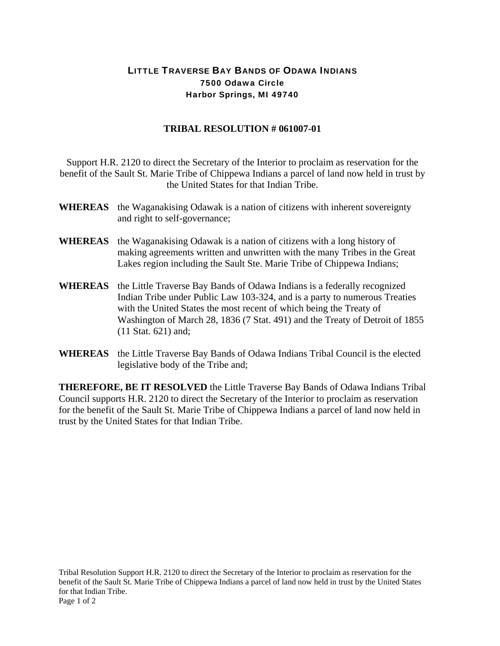## LITTLE TRAVERSE BAY BANDS OF ODAWA INDIANS 7500 Odawa Circle Harbor Springs, MI 49740

## **TRIBAL RESOLUTION # 061007-01**

Support H.R. 2120 to direct the Secretary of the Interior to proclaim as reservation for the benefit of the Sault St. Marie Tribe of Chippewa Indians a parcel of land now held in trust by the United States for that Indian Tribe.

- **WHEREAS** the Waganakising Odawak is a nation of citizens with inherent sovereignty and right to self-governance;
- **WHEREAS** the Waganakising Odawak is a nation of citizens with a long history of making agreements written and unwritten with the many Tribes in the Great Lakes region including the Sault Ste. Marie Tribe of Chippewa Indians;
- **WHEREAS** the Little Traverse Bay Bands of Odawa Indians is a federally recognized Indian Tribe under Public Law 103-324, and is a party to numerous Treaties with the United States the most recent of which being the Treaty of Washington of March 28, 1836 (7 Stat. 491) and the Treaty of Detroit of 1855 (11 Stat. 621) and;
- **WHEREAS** the Little Traverse Bay Bands of Odawa Indians Tribal Council is the elected legislative body of the Tribe and;

**THEREFORE, BE IT RESOLVED** the Little Traverse Bay Bands of Odawa Indians Tribal Council supports H.R. 2120 to direct the Secretary of the Interior to proclaim as reservation for the benefit of the Sault St. Marie Tribe of Chippewa Indians a parcel of land now held in trust by the United States for that Indian Tribe.

Tribal Resolution Support H.R. 2120 to direct the Secretary of the Interior to proclaim as reservation for the benefit of the Sault St. Marie Tribe of Chippewa Indians a parcel of land now held in trust by the United States for that Indian Tribe. Page 1 of 2